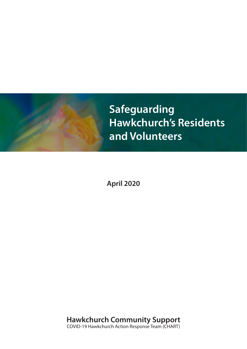

**April 2020**

**Hawkchurch Community Support**  COVID-19 Hawkchurch Action Response Team (CHART)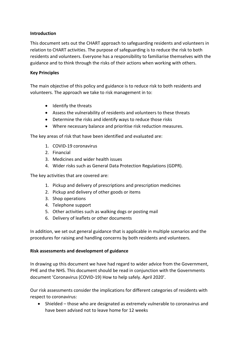## **Introduction**

This document sets out the CHART approach to safeguarding residents and volunteers in relation to CHART activities. The purpose of safeguarding is to reduce the risk to both residents and volunteers. Everyone has a responsibility to familiarise themselves with the guidance and to think through the risks of their actions when working with others.

## **Key Principles**

The main objective of this policy and guidance is to reduce risk to both residents and volunteers. The approach we take to risk management in to:

- Identify the threats
- Assess the vulnerability of residents and volunteers to these threats
- Determine the risks and identify ways to reduce those risks
- Where necessary balance and prioritise risk reduction measures.

The key areas of risk that have been identified and evaluated are:

- 1. COVID-19 coronavirus
- 2. Financial
- 3. Medicines and wider health issues
- 4. Wider risks such as General Data Protection Regulations (GDPR).

The key activities that are covered are:

- 1. Pickup and delivery of prescriptions and prescription medicines
- 2. Pickup and delivery of other goods or items
- 3. Shop operations
- 4. Telephone support
- 5. Other activities such as walking dogs or posting mail
- 6. Delivery of leaflets or other documents

In addition, we set out general guidance that is applicable in multiple scenarios and the procedures for raising and handling concerns by both residents and volunteers.

### **Risk assessments and development of guidance**

In drawing up this document we have had regard to wider advice from the Government, PHE and the NHS. This document should be read in conjunction with the Governments document 'Coronavirus (COVID-19) How to help safely. April 2020'.

Our risk assessments consider the implications for different categories of residents with respect to coronavirus:

• Shielded – those who are designated as extremely vulnerable to coronavirus and have been advised not to leave home for 12 weeks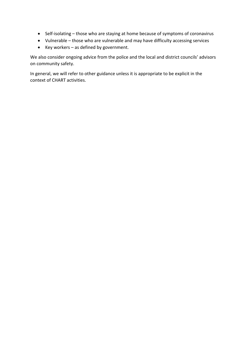- Self-isolating those who are staying at home because of symptoms of coronavirus
- Vulnerable those who are vulnerable and may have difficulty accessing services
- Key workers as defined by government.

We also consider ongoing advice from the police and the local and district councils' advisors on community safety.

In general, we will refer to other guidance unless it is appropriate to be explicit in the context of CHART activities.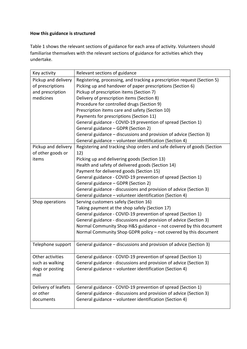## **How this guidance is structured**

Table 1 shows the relevant sections of guidance for each area of activity. Volunteers should familiarise themselves with the relevant sections of guidance for activities which they undertake.

| Key activity         | Relevant sections of guidance                                            |
|----------------------|--------------------------------------------------------------------------|
| Pickup and delivery  | Registering, processing, and tracking a prescription request (Section 5) |
| of prescriptions     | Picking up and handover of paper prescriptions (Section 6)               |
| and prescription     | Pickup of prescription items (Section 7)                                 |
| medicines            | Delivery of prescription items (Section 8)                               |
|                      | Procedure for controlled drugs (Section 9)                               |
|                      | Prescription items care and safety (Section 10)                          |
|                      | Payments for prescriptions (Section 11)                                  |
|                      | General guidance - COVID-19 prevention of spread (Section 1)             |
|                      | General guidance - GDPR (Section 2)                                      |
|                      | General guidance – discussions and provision of advice (Section 3)       |
|                      | General guidance - volunteer identification (Section 4)                  |
| Pickup and delivery  | Registering and tracking shop orders and safe delivery of goods (Section |
| of other goods or    | 12)                                                                      |
| items                | Picking up and delivering goods (Section 13)                             |
|                      | Health and safety of delivered goods (Section 14)                        |
|                      | Payment for delivered goods (Section 15)                                 |
|                      | General guidance - COVID-19 prevention of spread (Section 1)             |
|                      | General guidance - GDPR (Section 2)                                      |
|                      | General guidance - discussions and provision of advice (Section 3)       |
|                      | General guidance - volunteer identification (Section 4)                  |
| Shop operations      | Serving customers safely (Section 16)                                    |
|                      | Taking payment at the shop safely (Section 17)                           |
|                      | General guidance - COVID-19 prevention of spread (Section 1)             |
|                      | General guidance - discussions and provision of advice (Section 3)       |
|                      | Normal Community Shop H&S guidance - not covered by this document        |
|                      | Normal Community Shop GDPR policy - not covered by this document         |
| Telephone support    | General guidance – discussions and provision of advice (Section 3)       |
|                      |                                                                          |
| Other activities     | General guidance - COVID-19 prevention of spread (Section 1)             |
| such as walking      | General guidance - discussions and provision of advice (Section 3)       |
| dogs or posting      | General guidance - volunteer identification (Section 4)                  |
| mail                 |                                                                          |
| Delivery of leaflets | General guidance - COVID-19 prevention of spread (Section 1)             |
| or other             | General guidance - discussions and provision of advice (Section 3)       |
| documents            | General guidance - volunteer identification (Section 4)                  |
|                      |                                                                          |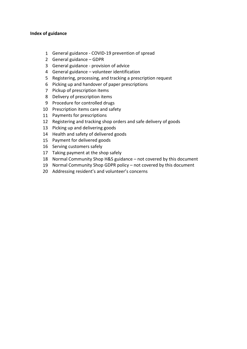#### **Index of guidance**

- General guidance COVID-19 prevention of spread
- General guidance GDPR
- General guidance provision of advice
- General guidance volunteer identification
- Registering, processing, and tracking a prescription request
- Picking up and handover of paper prescriptions
- Pickup of prescription items
- Delivery of prescription items
- Procedure for controlled drugs
- Prescription items care and safety
- Payments for prescriptions
- Registering and tracking shop orders and safe delivery of goods
- Picking up and delivering goods
- Health and safety of delivered goods
- Payment for delivered goods
- Serving customers safely
- Taking payment at the shop safely
- Normal Community Shop H&S guidance not covered by this document
- Normal Community Shop GDPR policy not covered by this document
- Addressing resident's and volunteer's concerns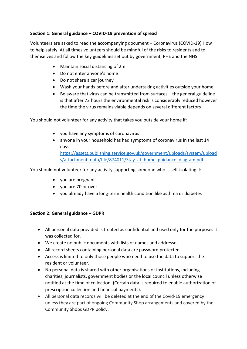# **Section 1: General guidance – COVID-19 prevention of spread**

Volunteers are asked to read the accompanying document – Coronavirus (COVID-19) How to help safely. At all times volunteers should be mindful of the risks to residents and to themselves and follow the key guidelines set out by government, PHE and the NHS:

- Maintain social distancing of 2m
- Do not enter anyone's home
- Do not share a car journey
- Wash your hands before and after undertaking activities outside your home
- Be aware that virus can be transmitted from surfaces the general guideline is that after 72 hours the environmental risk is considerably reduced however the time the virus remains viable depends on several different factors

You should not volunteer for any activity that takes you outside your home if:

- you have any symptoms of coronavirus
- anyone in your household has had symptoms of coronavirus in the last 14 days https://assets.publishing.service.gov.uk/government/uploads/system/upload s/attachment\_data/file/874011/Stay\_at\_home\_guidance\_diagram.pdf

You should not volunteer for any activity supporting someone who is self-isolating if:

- you are pregnant
- you are 70 or over
- you already have a long-term health condition like asthma or diabetes

# **Section 2: General guidance – GDPR**

- All personal data provided is treated as confidential and used only for the purposes it was collected for.
- We create no public documents with lists of names and addresses.
- All record sheets containing personal data are password protected.
- Access is limited to only those people who need to use the data to support the resident or volunteer.
- No personal data is shared with other organisations or institutions, including charities, journalists, government bodies or the local council unless otherwise notified at the time of collection. (Certain data is required to enable authorization of prescription collection and financial payments).
- All personal data records will be deleted at the end of the Covid-19 emergency unless they are part of ongoing Community Shop arrangements and covered by the Community Shops GDPR policy.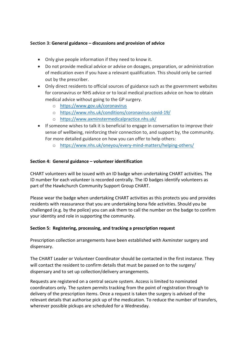## **Section 3: General guidance – discussions and provision of advice**

- Only give people information if they need to know it.
- Do not provide medical advice or advise on dosages, preparation, or administration of medication even if you have a relevant qualification. This should only be carried out by the prescriber.
- Only direct residents to official sources of guidance such as the government websites for coronavirus or NHS advice or to local medical practices advice on how to obtain medical advice without going to the GP surgery.
	- o https://www.gov.uk/coronavirus
	- o https://www.nhs.uk/conditions/coronavirus-covid-19/
	- o https://www.axminstermedicalpractice.nhs.uk/
- If someone wishes to talk it is beneficial to engage in conversation to improve their sense of wellbeing, reinforcing their connection to, and support by, the community. For more detailed guidance on how you can offer to help others:
	- o https://www.nhs.uk/oneyou/every-mind-matters/helping-others/

### **Section 4: General guidance – volunteer identification**

CHART volunteers will be issued with an ID badge when undertaking CHART activities. The ID number for each volunteer is recorded centrally. The ID badges identify volunteers as part of the Hawkchurch Community Support Group CHART.

Please wear the badge when undertaking CHART activities as this protects you and provides residents with reassurance that you are undertaking bona fide activities. Should you be challenged (e.g. by the police) you can ask them to call the number on the badge to confirm your identity and role in supporting the community.

### **Section 5: Registering, processing, and tracking a prescription request**

Prescription collection arrangements have been established with Axminster surgery and dispensary.

The CHART Leader or Volunteer Coordinator should be contacted in the first instance. They will contact the resident to confirm details that must be passed on to the surgery/ dispensary and to set up collection/delivery arrangements.

Requests are registered on a central secure system. Access is limited to nominated coordinators only. The system permits tracking from the point of registration through to delivery of the prescription items. Once a request is taken the surgery is advised of the relevant details that authorise pick up of the medication. To reduce the number of transfers, wherever possible pickups are scheduled for a Wednesday.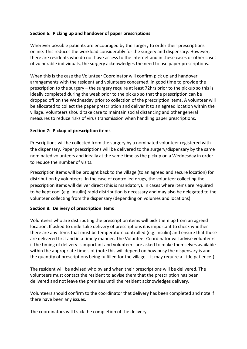### **Section 6: Picking up and handover of paper prescriptions**

Wherever possible patients are encouraged by the surgery to order their prescriptions online. This reduces the workload considerably for the surgery and dispensary. However, there are residents who do not have access to the internet and in these cases or other cases of vulnerable individuals, the surgery acknowledges the need to use paper prescriptions.

When this is the case the Volunteer Coordinator will confirm pick up and handover arrangements with the resident and volunteers concerned, in good time to provide the prescription to the surgery – the surgery require at least 72hrs prior to the pickup so this is ideally completed during the week prior to the pickup so that the prescription can be dropped off on the Wednesday prior to collection of the prescription items. A volunteer will be allocated to collect the paper prescription and deliver it to an agreed location within the village. Volunteers should take care to maintain social distancing and other general measures to reduce risks of virus transmission when handling paper prescriptions.

#### **Section 7: Pickup of prescription items**

Prescriptions will be collected from the surgery by a nominated volunteer registered with the dispensary. Paper prescriptions will be delivered to the surgery/dispensary by the same nominated volunteers and ideally at the same time as the pickup on a Wednesday in order to reduce the number of visits.

Prescription items will be brought back to the village (to an agreed and secure location) for distribution by volunteers. In the case of controlled drugs, the volunteer collecting the prescription items will deliver direct (this is mandatory). In cases where items are required to be kept cool (e.g. insulin) rapid distribution is necessary and may also be delegated to the volunteer collecting from the dispensary (depending on volumes and locations).

#### **Section 8: Delivery of prescription items**

Volunteers who are distributing the prescription items will pick them up from an agreed location. If asked to undertake delivery of prescriptions it is important to check whether there are any items that must be temperature controlled (e.g. insulin) and ensure that these are delivered first and in a timely manner. The Volunteer Coordinator will advise volunteers if the timing of delivery is important and volunteers are asked to make themselves available within the appropriate time slot (note this will depend on how busy the dispensary is and the quantity of prescriptions being fulfilled for the village – it may require a little patience!)

The resident will be advised who by and when their prescriptions will be delivered. The volunteers must contact the resident to advise them that the prescription has been delivered and not leave the premises until the resident acknowledges delivery.

Volunteers should confirm to the coordinator that delivery has been completed and note if there have been any issues.

The coordinators will track the completion of the delivery.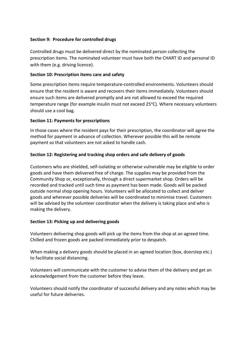### **Section 9: Procedure for controlled drugs**

Controlled drugs must be delivered direct by the nominated person collecting the prescription items. The nominated volunteer must have both the CHART ID and personal ID with them (e.g. driving licence).

#### **Section 10: Prescription items care and safety**

Some prescription items require temperature-controlled environments. Volunteers should ensure that the resident is aware and recovers their items immediately. Volunteers should ensure such items are delivered promptly and are not allowed to exceed the required temperature range (for example insulin must not exceed 25°C). Where necessary volunteers should use a cool bag.

### **Section 11: Payments for prescriptions**

In those cases where the resident pays for their prescription, the coordinator will agree the method for payment in advance of collection. Wherever possible this will be remote payment so that volunteers are not asked to handle cash.

### **Section 12: Registering and tracking shop orders and safe delivery of goods**

Customers who are shielded, self-isolating or otherwise vulnerable may be eligible to order goods and have them delivered free of charge. The supplies may be provided from the Community Shop or, exceptionally, through a direct supermarket shop. Orders will be recorded and tracked until such time as payment has been made. Goods will be packed outside normal shop opening hours. Volunteers will be allocated to collect and deliver goods and wherever possible deliveries will be coordinated to minimise travel. Customers will be advised by the volunteer coordinator when the delivery is taking place and who is making the delivery.

### **Section 13: Picking up and delivering goods**

Volunteers delivering shop goods will pick up the items from the shop at an agreed time. Chilled and frozen goods are packed immediately prior to despatch.

When making a delivery goods should be placed in an agreed location (box, doorstep etc.) to facilitate social distancing.

Volunteers will communicate with the customer to advise them of the delivery and get an acknowledgement from the customer before they leave.

Volunteers should notify the coordinator of successful delivery and any notes which may be useful for future deliveries.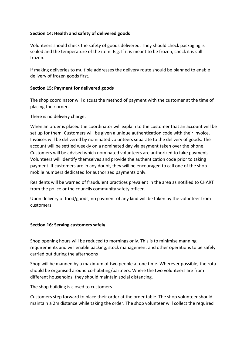### **Section 14: Health and safety of delivered goods**

Volunteers should check the safety of goods delivered. They should check packaging is sealed and the temperature of the item. E.g. If it is meant to be frozen, check it is still frozen.

If making deliveries to multiple addresses the delivery route should be planned to enable delivery of frozen goods first.

#### **Section 15: Payment for delivered goods**

The shop coordinator will discuss the method of payment with the customer at the time of placing their order.

There is no delivery charge.

When an order is placed the coordinator will explain to the customer that an account will be set up for them. Customers will be given a unique authentication code with their invoice. Invoices will be delivered by nominated volunteers separate to the delivery of goods. The account will be settled weekly on a nominated day via payment taken over the phone. Customers will be advised which nominated volunteers are authorized to take payment. Volunteers will identify themselves and provide the authentication code prior to taking payment. If customers are in any doubt, they will be encouraged to call one of the shop mobile numbers dedicated for authorized payments only.

Residents will be warned of fraudulent practices prevalent in the area as notified to CHART from the police or the councils community safety officer.

Upon delivery of food/goods, no payment of any kind will be taken by the volunteer from customers.

### **Section 16: Serving customers safely**

Shop opening hours will be reduced to mornings only. This is to minimise manning requirements and will enable packing, stock management and other operations to be safely carried out during the afternoons

Shop will be manned by a maximum of two people at one time. Wherever possible, the rota should be organised around co-habiting/partners. Where the two volunteers are from different households, they should maintain social distancing.

The shop building is closed to customers

Customers step forward to place their order at the order table. The shop volunteer should maintain a 2m distance while taking the order. The shop volunteer will collect the required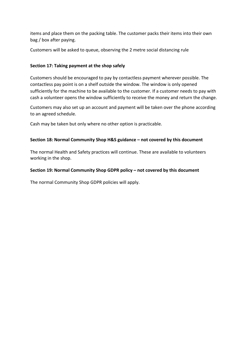items and place them on the packing table. The customer packs their items into their own bag / box after paying.

Customers will be asked to queue, observing the 2 metre social distancing rule

#### **Section 17: Taking payment at the shop safely**

Customers should be encouraged to pay by contactless payment wherever possible. The contactless pay point is on a shelf outside the window. The window is only opened sufficiently for the machine to be available to the customer. If a customer needs to pay with cash a volunteer opens the window sufficiently to receive the money and return the change.

Customers may also set up an account and payment will be taken over the phone according to an agreed schedule.

Cash may be taken but only where no other option is practicable.

#### **Section 18: Normal Community Shop H&S guidance – not covered by this document**

The normal Health and Safety practices will continue. These are available to volunteers working in the shop.

#### **Section 19: Normal Community Shop GDPR policy – not covered by this document**

The normal Community Shop GDPR policies will apply.